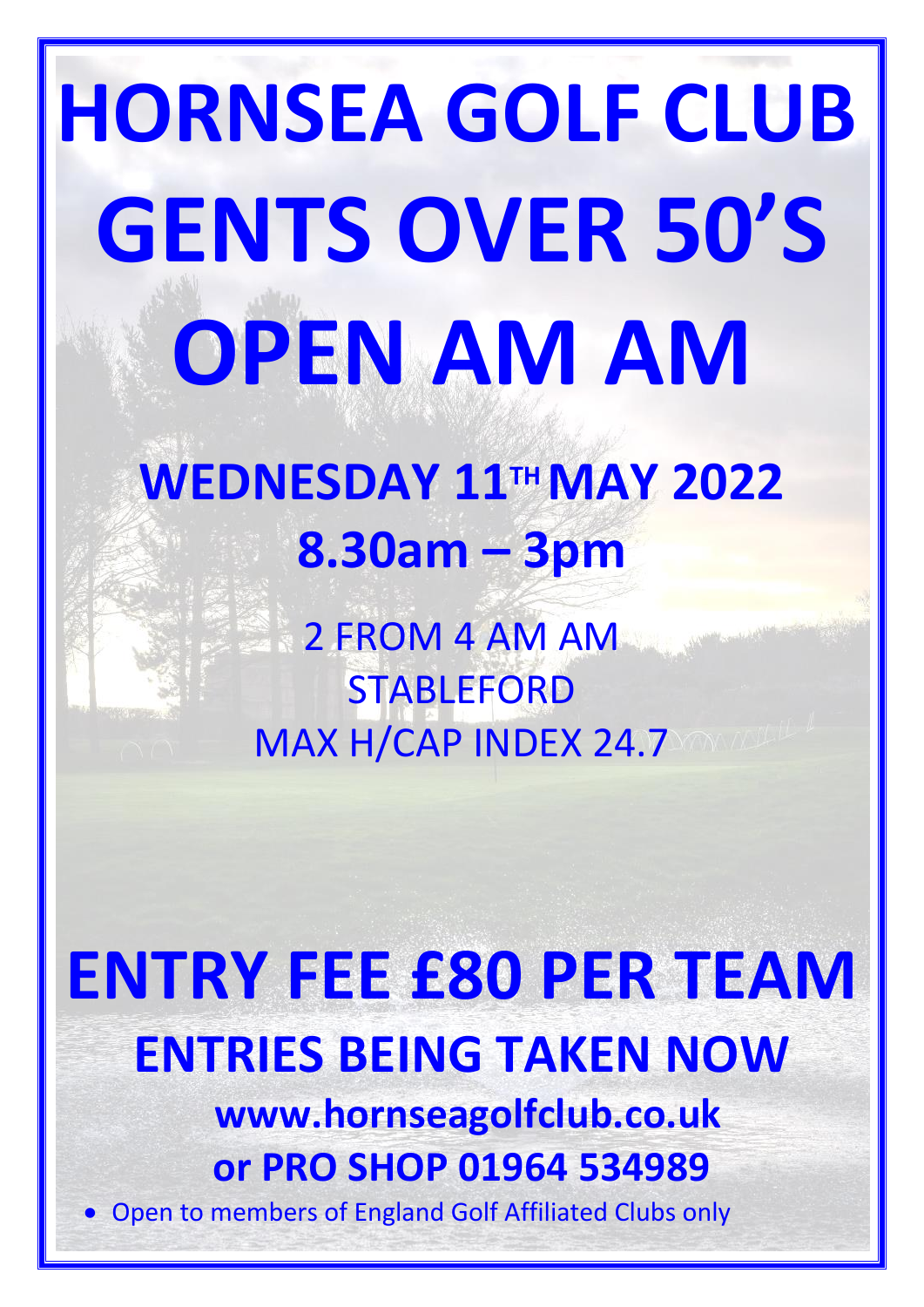# **HORNSEA GOLF CLUB GENTS OVER 50'S OPEN AM AM**

# **WEDNESDAY 11TH MAY 2022 8.30am – 3pm**

2 FROM 4 AM AM **STABLEFORD** MAX H/CAP INDEX 24.7

**ENTRY FEE £80 PER TEAM ENTRIES BEING TAKEN NOW www.hornseagolfclub.co.uk or PRO SHOP 01964 534989** • Open to members of England Golf Affiliated Clubs only